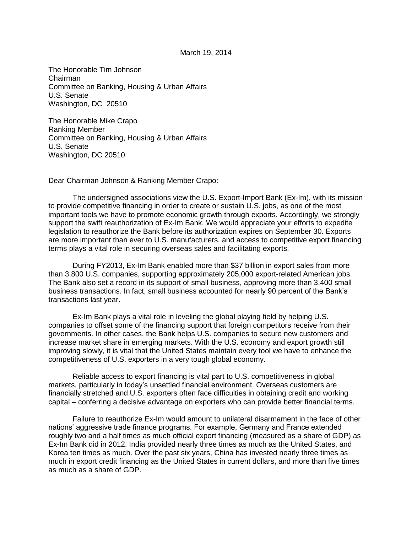## March 19, 2014

The Honorable Tim Johnson Chairman Committee on Banking, Housing & Urban Affairs U.S. Senate Washington, DC 20510

The Honorable Mike Crapo Ranking Member Committee on Banking, Housing & Urban Affairs U.S. Senate Washington, DC 20510

Dear Chairman Johnson & Ranking Member Crapo:

The undersigned associations view the U.S. Export-Import Bank (Ex-Im), with its mission to provide competitive financing in order to create or sustain U.S. jobs, as one of the most important tools we have to promote economic growth through exports. Accordingly, we strongly support the swift reauthorization of Ex-Im Bank. We would appreciate your efforts to expedite legislation to reauthorize the Bank before its authorization expires on September 30. Exports are more important than ever to U.S. manufacturers, and access to competitive export financing terms plays a vital role in securing overseas sales and facilitating exports.

During FY2013, Ex-Im Bank enabled more than \$37 billion in export sales from more than 3,800 U.S. companies, supporting approximately 205,000 export-related American jobs. The Bank also set a record in its support of small business, approving more than 3,400 small business transactions. In fact, small business accounted for nearly 90 percent of the Bank's transactions last year.

Ex-Im Bank plays a vital role in leveling the global playing field by helping U.S. companies to offset some of the financing support that foreign competitors receive from their governments. In other cases, the Bank helps U.S. companies to secure new customers and increase market share in emerging markets. With the U.S. economy and export growth still improving slowly, it is vital that the United States maintain every tool we have to enhance the competitiveness of U.S. exporters in a very tough global economy.

Reliable access to export financing is vital part to U.S. competitiveness in global markets, particularly in today's unsettled financial environment. Overseas customers are financially stretched and U.S. exporters often face difficulties in obtaining credit and working capital – conferring a decisive advantage on exporters who can provide better financial terms.

Failure to reauthorize Ex-Im would amount to unilateral disarmament in the face of other nations' aggressive trade finance programs. For example, Germany and France extended roughly two and a half times as much official export financing (measured as a share of GDP) as Ex-Im Bank did in 2012. India provided nearly three times as much as the United States, and Korea ten times as much. Over the past six years, China has invested nearly three times as much in export credit financing as the United States in current dollars, and more than five times as much as a share of GDP.